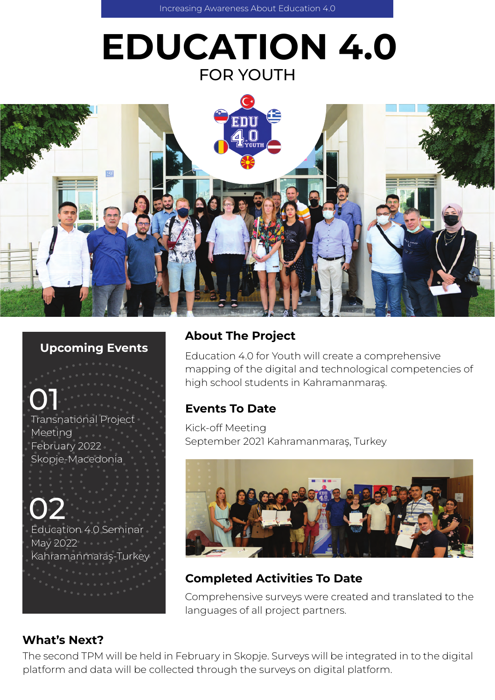# EDUCATION 4.0 FOR YOUTH



#### Upcoming Events

Transnational Project Meeting February 2022 Skopje-Macedonia 01

02 Education 4.0 Seminar May 2022 **May 2022** Kahramanmaraş-Turkey

# About The Project

Education 4.0 for Youth will create a comprehensive mapping of the digital and technological competencies of high school students in Kahramanmaraş.

# Events To Date

Kick-off Meeting September 2021 Kahramanmaraş, Turkey



# Completed Activities To Date

Comprehensive surveys were created and translated to the languages of all project partners.

# What's Next?

The second TPM will be held in February in Skopje. Surveys will be integrated in to the digital platform and data will be collected through the surveys on digital platform.